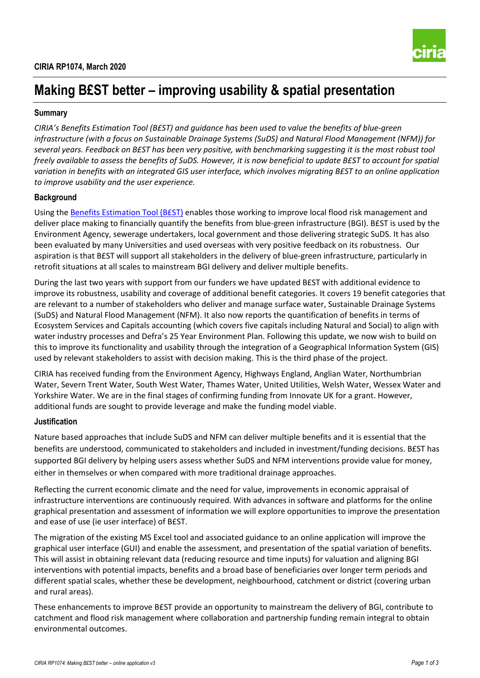

# **Making B£ST better – improving usability & spatial presentation**

## **Summary**

*CIRIA's Benefits Estimation Tool (B£ST) and guidance has been used to value the benefits of blue-green infrastructure (with a focus on Sustainable Drainage Systems (SuDS) and Natural Flood Management (NFM)) for several years. Feedback on B£ST has been very positive, with benchmarking suggesting it is the most robust tool freely available to assess the benefits of SuDS. However, it is now beneficial to update B£ST to account for spatial variation in benefits with an integrated GIS user interface, which involves migrating B£ST to an online application to improve usability and the user experience.*

## **Background**

Using the [Benefits Estimation Tool \(B£ST\)](https://www.susdrain.org/resources/best.html) enables those working to improve local flood risk management and deliver place making to financially quantify the benefits from blue-green infrastructure (BGI). B£ST is used by the Environment Agency, sewerage undertakers, local government and those delivering strategic SuDS. It has also been evaluated by many Universities and used overseas with very positive feedback on its robustness. Our aspiration is that B£ST will support all stakeholders in the delivery of blue-green infrastructure, particularly in retrofit situations at all scales to mainstream BGI delivery and deliver multiple benefits.

During the last two years with support from our funders we have updated B£ST with additional evidence to improve its robustness, usability and coverage of additional benefit categories. It covers 19 benefit categories that are relevant to a number of stakeholders who deliver and manage surface water, Sustainable Drainage Systems (SuDS) and Natural Flood Management (NFM). It also now reports the quantification of benefits in terms of Ecosystem Services and Capitals accounting (which covers five capitals including Natural and Social) to align with water industry processes and Defra's 25 Year Environment Plan. Following this update, we now wish to build on this to improve its functionality and usability through the integration of a Geographical Information System (GIS) used by relevant stakeholders to assist with decision making. This is the third phase of the project.

CIRIA has received funding from the Environment Agency, Highways England, Anglian Water, Northumbrian Water, Severn Trent Water, South West Water, Thames Water, United Utilities, Welsh Water, Wessex Water and Yorkshire Water. We are in the final stages of confirming funding from Innovate UK for a grant. However, additional funds are sought to provide leverage and make the funding model viable.

## **Justification**

Nature based approaches that include SuDS and NFM can deliver multiple benefits and it is essential that the benefits are understood, communicated to stakeholders and included in investment/funding decisions. B£ST has supported BGI delivery by helping users assess whether SuDS and NFM interventions provide value for money, either in themselves or when compared with more traditional drainage approaches.

Reflecting the current economic climate and the need for value, improvements in economic appraisal of infrastructure interventions are continuously required. With advances in software and platforms for the online graphical presentation and assessment of information we will explore opportunities to improve the presentation and ease of use (ie user interface) of B£ST.

The migration of the existing MS Excel tool and associated guidance to an online application will improve the graphical user interface (GUI) and enable the assessment, and presentation of the spatial variation of benefits. This will assist in obtaining relevant data (reducing resource and time inputs) for valuation and aligning BGI interventions with potential impacts, benefits and a broad base of beneficiaries over longer term periods and different spatial scales, whether these be development, neighbourhood, catchment or district (covering urban and rural areas).

These enhancements to improve B£ST provide an opportunity to mainstream the delivery of BGI, contribute to catchment and flood risk management where collaboration and partnership funding remain integral to obtain environmental outcomes.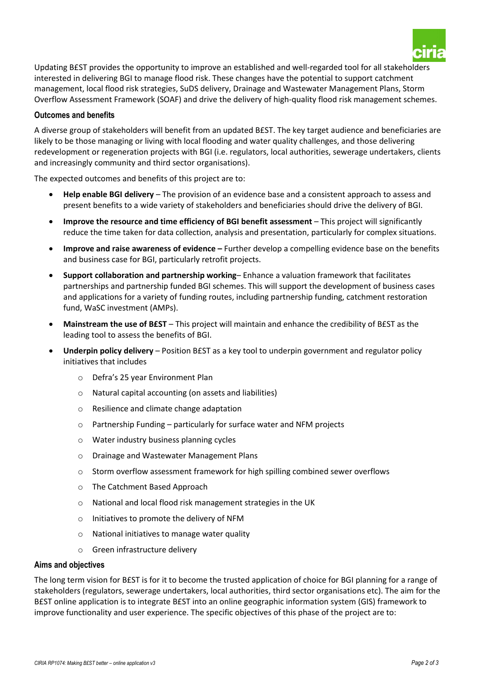

Updating B£ST provides the opportunity to improve an established and well-regarded tool for all stakeholders interested in delivering BGI to manage flood risk. These changes have the potential to support catchment management, local flood risk strategies, SuDS delivery, Drainage and Wastewater Management Plans, Storm Overflow Assessment Framework (SOAF) and drive the delivery of high-quality flood risk management schemes.

#### **Outcomes and benefits**

A diverse group of stakeholders will benefit from an updated B£ST. The key target audience and beneficiaries are likely to be those managing or living with local flooding and water quality challenges, and those delivering redevelopment or regeneration projects with BGI (i.e. regulators, local authorities, sewerage undertakers, clients and increasingly community and third sector organisations).

The expected outcomes and benefits of this project are to:

- **Help enable BGI delivery** The provision of an evidence base and a consistent approach to assess and present benefits to a wide variety of stakeholders and beneficiaries should drive the delivery of BGI.
- **Improve the resource and time efficiency of BGI benefit assessment** This project will significantly reduce the time taken for data collection, analysis and presentation, particularly for complex situations.
- **Improve and raise awareness of evidence –** Further develop a compelling evidence base on the benefits and business case for BGI, particularly retrofit projects.
- **Support collaboration and partnership working** Enhance a valuation framework that facilitates partnerships and partnership funded BGI schemes. This will support the development of business cases and applications for a variety of funding routes, including partnership funding, catchment restoration fund, WaSC investment (AMPs).
- **Mainstream the use of B£ST** This project will maintain and enhance the credibility of B£ST as the leading tool to assess the benefits of BGI.
- **Underpin policy delivery** Position B£ST as a key tool to underpin government and regulator policy initiatives that includes
	- o Defra's 25 year Environment Plan
	- o Natural capital accounting (on assets and liabilities)
	- o Resilience and climate change adaptation
	- o Partnership Funding particularly for surface water and NFM projects
	- o Water industry business planning cycles
	- o Drainage and Wastewater Management Plans
	- o Storm overflow assessment framework for high spilling combined sewer overflows
	- o The Catchment Based Approach
	- o National and local flood risk management strategies in the UK
	- o Initiatives to promote the delivery of NFM
	- o National initiatives to manage water quality
	- o Green infrastructure delivery

#### **Aims and objectives**

The long term vision for B£ST is for it to become the trusted application of choice for BGI planning for a range of stakeholders (regulators, sewerage undertakers, local authorities, third sector organisations etc). The aim for the B£ST online application is to integrate B£ST into an online geographic information system (GIS) framework to improve functionality and user experience. The specific objectives of this phase of the project are to: